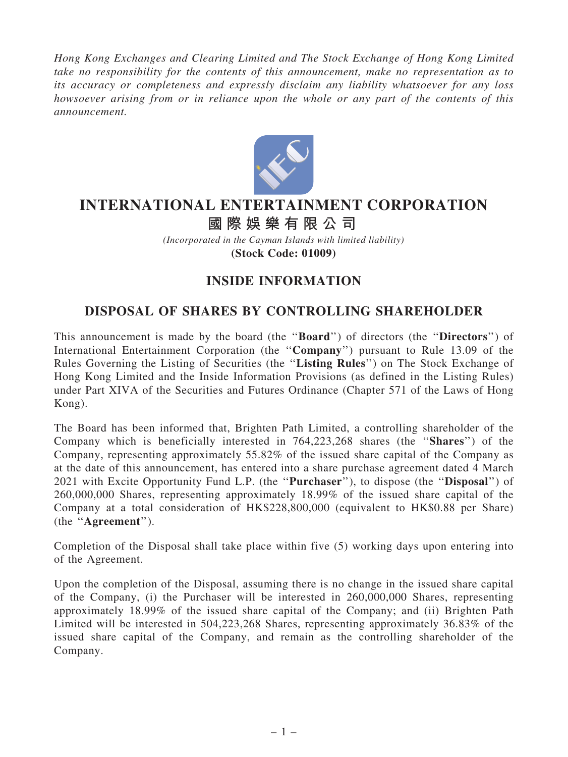Hong Kong Exchanges and Clearing Limited and The Stock Exchange of Hong Kong Limited take no responsibility for the contents of this announcement, make no representation as to its accuracy or completeness and expressly disclaim any liability whatsoever for any loss howsoever arising from or in reliance upon the whole or any part of the contents of this announcement.



## **INTERNATIONAL ENTERTAINMENT CORPORATION**

## **國 際 娛 樂 有 限 公 司**

*(Incorporated in the Cayman Islands with limited liability)* **(Stock Code: 01009)**

## INSIDE INFORMATION

## DISPOSAL OF SHARES BY CONTROLLING SHAREHOLDER

This announcement is made by the board (the "Board") of directors (the "Directors") of International Entertainment Corporation (the ''Company'') pursuant to Rule 13.09 of the Rules Governing the Listing of Securities (the ''Listing Rules'') on The Stock Exchange of Hong Kong Limited and the Inside Information Provisions (as defined in the Listing Rules) under Part XIVA of the Securities and Futures Ordinance (Chapter 571 of the Laws of Hong Kong).

The Board has been informed that, Brighten Path Limited, a controlling shareholder of the Company which is beneficially interested in 764,223,268 shares (the ''Shares'') of the Company, representing approximately 55.82% of the issued share capital of the Company as at the date of this announcement, has entered into a share purchase agreement dated 4 March 2021 with Excite Opportunity Fund L.P. (the "**Purchaser**"), to dispose (the "**Disposal**") of 260,000,000 Shares, representing approximately 18.99% of the issued share capital of the Company at a total consideration of HK\$228,800,000 (equivalent to HK\$0.88 per Share) (the ''Agreement'').

Completion of the Disposal shall take place within five (5) working days upon entering into of the Agreement.

Upon the completion of the Disposal, assuming there is no change in the issued share capital of the Company, (i) the Purchaser will be interested in 260,000,000 Shares, representing approximately 18.99% of the issued share capital of the Company; and (ii) Brighten Path Limited will be interested in 504,223,268 Shares, representing approximately 36.83% of the issued share capital of the Company, and remain as the controlling shareholder of the Company.